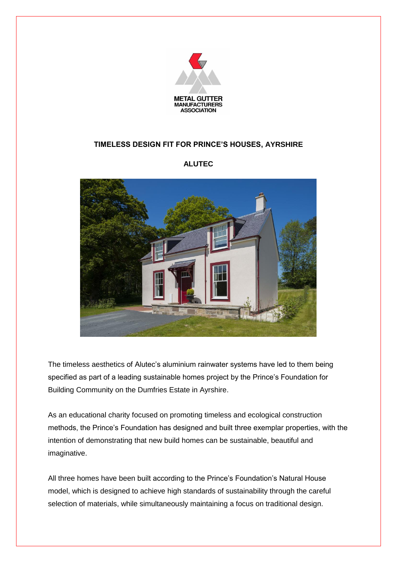

## **TIMELESS DESIGN FIT FOR PRINCE'S HOUSES, AYRSHIRE**

## **ALUTEC**



The timeless aesthetics of Alutec's aluminium rainwater systems have led to them being specified as part of a leading sustainable homes project by the Prince's Foundation for Building Community on the Dumfries Estate in Ayrshire.

As an educational charity focused on promoting timeless and ecological construction methods, the Prince's Foundation has designed and built three exemplar properties, with the intention of demonstrating that new build homes can be sustainable, beautiful and imaginative.

All three homes have been built according to the Prince's Foundation's Natural House model, which is designed to achieve high standards of sustainability through the careful selection of materials, while simultaneously maintaining a focus on traditional design.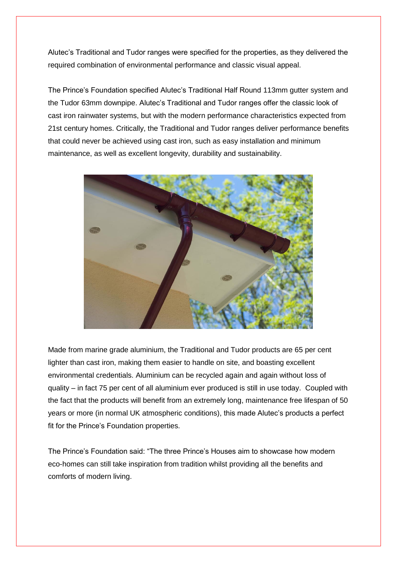Alutec's Traditional and Tudor ranges were specified for the properties, as they delivered the required combination of environmental performance and classic visual appeal.

The Prince's Foundation specified Alutec's Traditional Half Round 113mm gutter system and the Tudor 63mm downpipe. Alutec's Traditional and Tudor ranges offer the classic look of cast iron rainwater systems, but with the modern performance characteristics expected from 21st century homes. Critically, the Traditional and Tudor ranges deliver performance benefits that could never be achieved using cast iron, such as easy installation and minimum maintenance, as well as excellent longevity, durability and sustainability.



Made from marine grade aluminium, the Traditional and Tudor products are 65 per cent lighter than cast iron, making them easier to handle on site, and boasting excellent environmental credentials. Aluminium can be recycled again and again without loss of quality – in fact 75 per cent of all aluminium ever produced is still in use today. Coupled with the fact that the products will benefit from an extremely long, maintenance free lifespan of 50 years or more (in normal UK atmospheric conditions), this made Alutec's products a perfect fit for the Prince's Foundation properties.

The Prince's Foundation said: "The three Prince's Houses aim to showcase how modern eco-homes can still take inspiration from tradition whilst providing all the benefits and comforts of modern living.